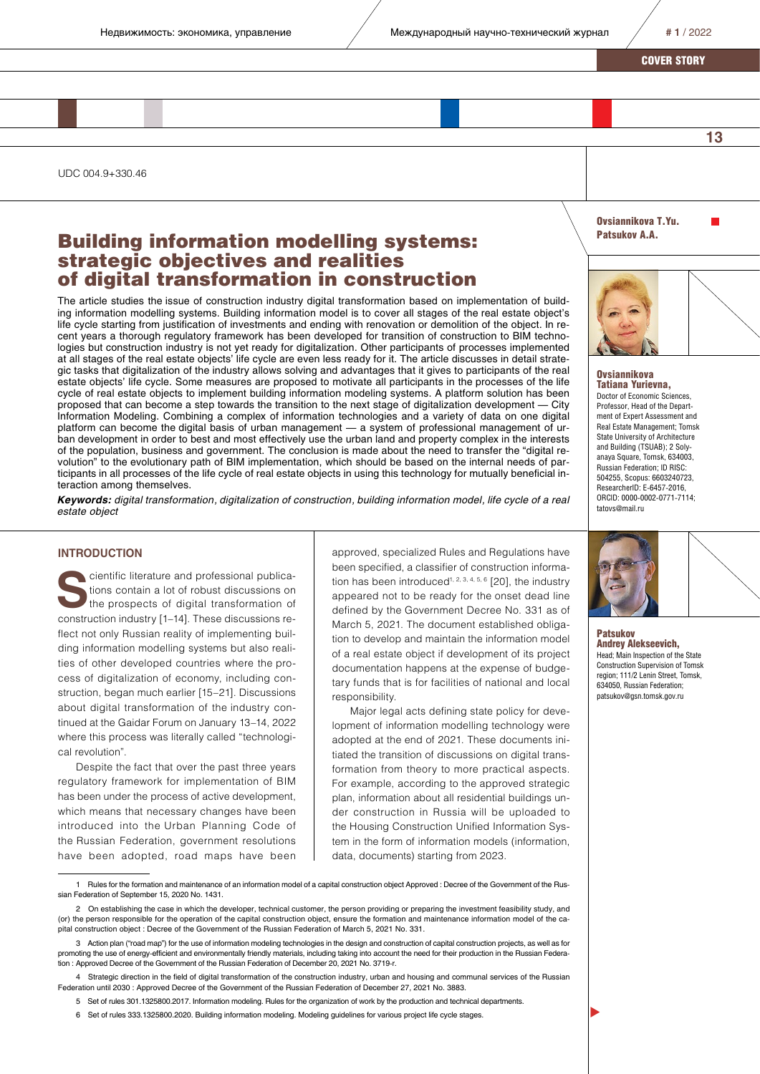**13**

COVER STORY

UDC 004.9+330.46

# Building information modelling systems: strategic objectives and realities of digital transformation in construction

The article studies the issue of construction industry digital transformation based on implementation of building information modelling systems. Building information model is to cover all stages of the real estate object's life cycle starting from justification of investments and ending with renovation or demolition of the object. In recent years a thorough regulatory framework has been developed for transition of construction to BIM technologies but construction industry is not yet ready for digitalization. Other participants of processes implemented at all stages of the real estate objects' life cycle are even less ready for it. The article discusses in detail strategic tasks that digitalization of the industry allows solving and advantages that it gives to participants of the real estate objects' life cycle. Some measures are proposed to motivate all participants in the processes of the life cycle of real estate objects to implement building information modeling systems. A platform solution has been proposed that can become a step towards the transition to the next stage of digitalization development — City Information Modeling. Combining a complex of information technologies and a variety of data on one digital platform can become the digital basis of urban management — a system of professional management of urban development in order to best and most effectively use the urban land and property complex in the interests of the population, business and government. The conclusion is made about the need to transfer the "digital revolution" to the evolutionary path of BIM implementation, which should be based on the internal needs of participants in all processes of the life cycle of real estate objects in using this technology for mutually beneficial interaction among themselves.

*Keywords: digital transformation, digitalization of construction, building information model, life cycle of a real estate object*

## **INTRODUCTION**

cientific literature and professional publications contain a lot of robust discussions on the prospects of digital transformation of construction industry [1–14]. These discussions reflect not only Russian reality of implementing building information modelling systems but also realities of other developed countries where the process of digitalization of economy, including construction, began much earlier [15–21]. Discussions about digital transformation of the industry continued at the Gaidar Forum on January 13–14, 2022 where this process was literally called "technological revolution".

Despite the fact that over the past three years regulatory framework for implementation of BIM has been under the process of active development, which means that necessary changes have been introduced into the Urban Planning Code of the Russian Federation, government resolutions have been adopted, road maps have been approved, specialized Rules and Regulations have been specified, a classifier of construction information has been introduced<sup>1, 2, 3, 4, 5, 6</sup> [20], the industry appeared not to be ready for the onset dead line defined by the Government Decree No. 331 as of March 5, 2021. The document established obligation to develop and maintain the information model of a real estate object if development of its project documentation happens at the expense of budgetary funds that is for facilities of national and local responsibility.

Major legal acts defining state policy for development of information modelling technology were adopted at the end of 2021. These documents initiated the transition of discussions on digital transformation from theory to more practical aspects. For example, according to the approved strategic plan, information about all residential buildings under construction in Russia will be uploaded to the Housing Construction Unified Information System in the form of information models (information, data, documents) starting from 2023.

1 Rules for the formation and maintenance of an information model of a capital construction object Approved : Decree of the Government of the Russian Federation of September 15, 2020 No. 1431.

4 Strategic direction in the field of digital transformation of the construction industry, urban and housing and communal services of the Russian Federation until 2030 : Approved Decree of the Government of the Russian Federation of December 27, 2021 No. 3883.

- 5 Set of rules 301.1325800.2017. Information modeling. Rules for the organization of work by the production and technical departments.
- 6 Set of rules 333.1325800.2020. Building information modeling. Modeling guidelines for various project life cycle stages.

Ovsiannikova T.Yu. Patsukov A.A.



#### **Ovsiannikova** Tatiana Yurievna,

Doctor of Economic Sciences, Professor, Head of the Department of Expert Assessment and Real Estate Management; Tomsk State University of Architecture and Building (TSUAB); 2 Solyanaya Square, Tomsk, 634003, Russian Federation; ID RISC: 504255, Scopus: 6603240723, ResearcherID: E-6457-2016, ORCID: 0000-0002-0771-7114; tatovs@mail.ru



**Patsukov** Andrey Alekseevich, Head; Main Inspection of the State Construction Supervision of Tomsk region; 111/2 Lenin Street, Tomsk, 634050, Russian Federation; patsukov@gsn.tomsk.gov.ru



 $\blacktriangleright$ 

<sup>2</sup> On establishing the case in which the developer, technical customer, the person providing or preparing the investment feasibility study, and (or) the person responsible for the operation of the capital construction object, ensure the formation and maintenance information model of the capital construction object : Decree of the Government of the Russian Federation of March 5, 2021 No. 331.

<sup>3</sup> Action plan ("road map") for the use of information modeling technologies in the design and construction of capital construction projects, as well as for promoting the use of energy-efficient and environmentally friendly materials, including taking into account the need for their production in the Russian Federation : Approved Decree of the Government of the Russian Federation of December 20, 2021 No. 3719-r.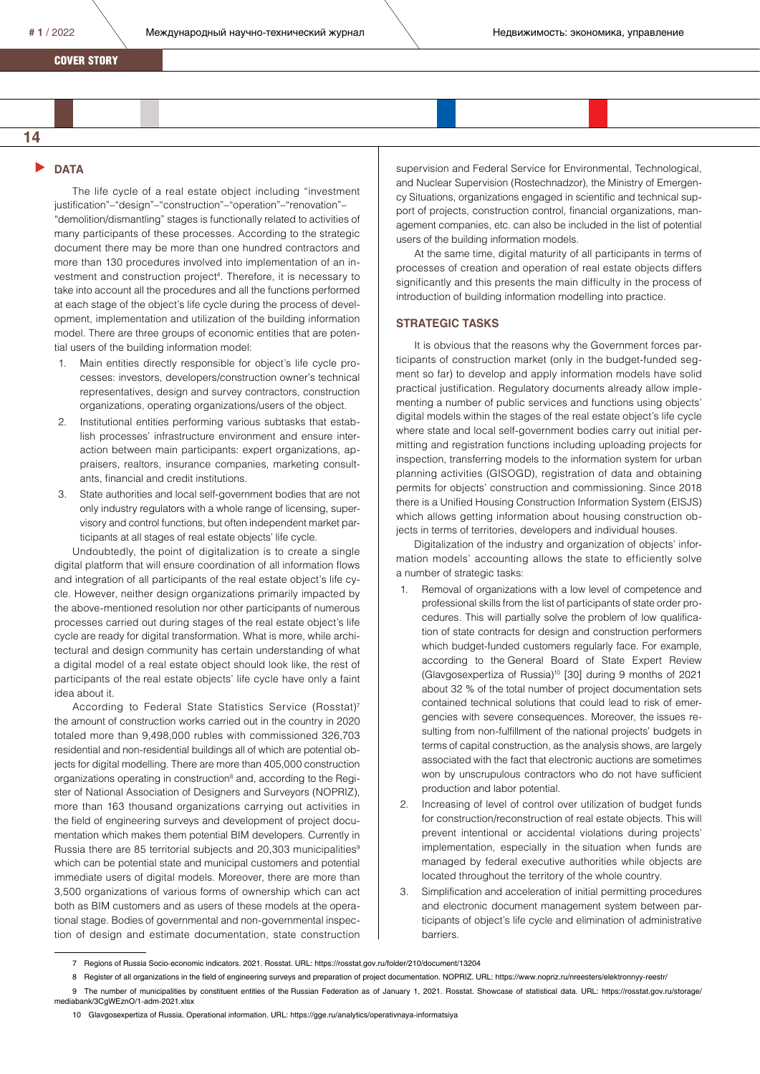COVER STORY

# **14**

## **DATA**

The life cycle of a real estate object including "investment justification"–"design"–"construction"–"operation"–"renovation"– "demolition/dismantling" stages is functionally related to activities of many participants of these processes. According to the strategic document there may be more than one hundred contractors and more than 130 procedures involved into implementation of an investment and construction project<sup>4</sup>. Therefore, it is necessary to take into account all the procedures and all the functions performed at each stage of the object's life cycle during the process of development, implementation and utilization of the building information model. There are three groups of economic entities that are potential users of the building information model:

- 1. Main entities directly responsible for object's life cycle processes: investors, developers/construction owner's technical representatives, design and survey contractors, construction organizations, operating organizations/users of the object.
- 2. Institutional entities performing various subtasks that establish processes' infrastructure environment and ensure interaction between main participants: expert organizations, appraisers, realtors, insurance companies, marketing consultants, financial and credit institutions.
- 3. State authorities and local self-government bodies that are not only industry regulators with a whole range of licensing, supervisory and control functions, but often independent market participants at all stages of real estate objects' life cycle.

Undoubtedly, the point of digitalization is to create a single digital platform that will ensure coordination of all information flows and integration of all participants of the real estate object's life cycle. However, neither design organizations primarily impacted by the above-mentioned resolution nor other participants of numerous processes carried out during stages of the real estate object's life cycle are ready for digital transformation. What is more, while architectural and design community has certain understanding of what a digital model of a real estate object should look like, the rest of participants of the real estate objects' life cycle have only a faint idea about it.

According to Federal State Statistics Service (Rosstat)<sup>7</sup> the amount of construction works carried out in the country in 2020 totaled more than 9,498,000 rubles with commissioned 326,703 residential and non-residential buildings all of which are potential objects for digital modelling. There are more than 405,000 construction organizations operating in construction<sup>8</sup> and, according to the Register of National Association of Designers and Surveyors (NOPRIZ), more than 163 thousand organizations carrying out activities in the field of engineering surveys and development of project documentation which makes them potential BIM developers. Currently in Russia there are 85 territorial subjects and 20,303 municipalities<sup>9</sup> which can be potential state and municipal customers and potential immediate users of digital models. Moreover, there are more than 3,500 organizations of various forms of ownership which can act both as BIM customers and as users of these models at the operational stage. Bodies of governmental and non-governmental inspection of design and estimate documentation, state construction

supervision and Federal Service for Environmental, Technological, and Nuclear Supervision (Rostechnadzor), the Ministry of Emergency Situations, organizations engaged in scientific and technical support of projects, construction control, financial organizations, management companies, etc. can also be included in the list of potential users of the building information models.

At the same time, digital maturity of all participants in terms of processes of creation and operation of real estate objects differs significantly and this presents the main difficulty in the process of introduction of building information modelling into practice.

#### **STRATEGIC TASKS**

It is obvious that the reasons why the Government forces participants of construction market (only in the budget-funded segment so far) to develop and apply information models have solid practical justification. Regulatory documents already allow implementing a number of public services and functions using objects' digital models within the stages of the real estate object's life cycle where state and local self-government bodies carry out initial permitting and registration functions including uploading projects for inspection, transferring models to the information system for urban planning activities (GISOGD), registration of data and obtaining permits for objects' construction and commissioning. Since 2018 there is a Unified Housing Construction Information System (EISJS) which allows getting information about housing construction objects in terms of territories, developers and individual houses.

Digitalization of the industry and organization of objects' information models' accounting allows the state to efficiently solve a number of strategic tasks:

- 1. Removal of organizations with a low level of competence and professional skills from the list of participants of state order procedures. This will partially solve the problem of low qualification of state contracts for design and construction performers which budget-funded customers regularly face. For example, according to the General Board of State Expert Review (Glavgosexpertiza of Russia)10 [30] during 9 months of 2021 about 32 % of the total number of project documentation sets contained technical solutions that could lead to risk of emergencies with severe consequences. Moreover, the issues resulting from non-fulfillment of the national projects' budgets in terms of capital construction, as the analysis shows, are largely associated with the fact that electronic auctions are sometimes won by unscrupulous contractors who do not have sufficient production and labor potential.
- 2. Increasing of level of control over utilization of budget funds for construction/reconstruction of real estate objects. This will prevent intentional or accidental violations during projects' implementation, especially in the situation when funds are managed by federal executive authorities while objects are located throughout the territory of the whole country.
- 3. Simplification and acceleration of initial permitting procedures and electronic document management system between participants of object's life cycle and elimination of administrative barriers.

10 Glavgosexpertiza of Russia. Operational information. URL: https://gge.ru/analytics/operativnaya-informatsiya

<sup>7</sup> Regions of Russia Socio-economic indicators. 2021. Rosstat. URL: https://rosstat.gov.ru/folder/210/document/13204

<sup>8</sup> Register of all organizations in the field of engineering surveys and preparation of project documentation. NOPRIZ. URL: https://www.nopriz.ru/nreesters/elektronnyy-reestr/

<sup>9</sup> The number of municipalities by constituent entities of the Russian Federation as of January 1, 2021. Rosstat. Showcase of statistical data. URL: https://rosstat.gov.ru/storage/ mediabank/3CgWEznO/1-adm-2021.xlsx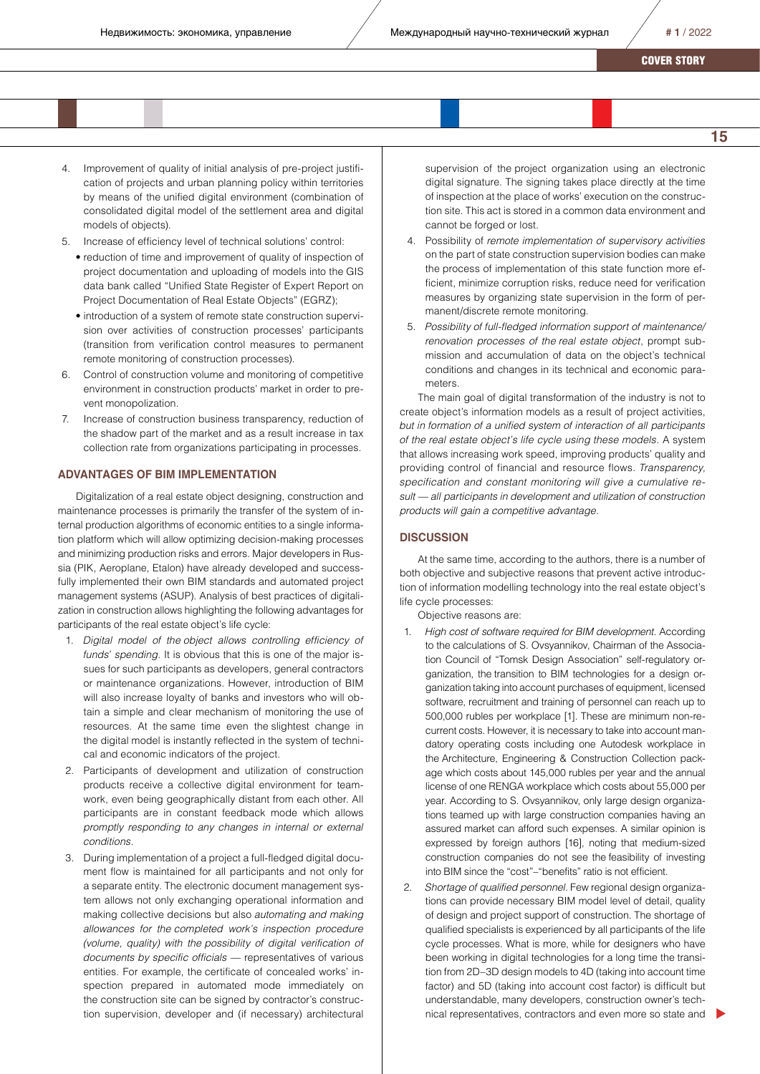- 4. Improvement of quality of initial analysis of pre-project justification of projects and urban planning policy within territories by means of the unified digital environment (combination of consolidated digital model of the settlement area and digital models of objects).
- 5. Increase of efficiency level of technical solutions' control:
	- reduction of time and improvement of quality of inspection of project documentation and uploading of models into the GIS data bank called "Unified State Register of Expert Report on Project Documentation of Real Estate Objects" (EGRZ);
	- introduction of a system of remote state construction supervision over activities of construction processes' participants (transition from verification control measures to permanent remote monitoring of construction processes).
- 6. Control of construction volume and monitoring of competitive environment in construction products' market in order to prevent monopolization.
- 7. Increase of construction business transparency, reduction of the shadow part of the market and as a result increase in tax collection rate from organizations participating in processes.

#### **ADVANTAGES OF BIM IMPLEMENTATION**

Digitalization of a real estate object designing, construction and maintenance processes is primarily the transfer of the system of internal production algorithms of economic entities to a single information platform which will allow optimizing decision-making processes and minimizing production risks and errors. Major developers in Russia (PIK, Aeroplane, Etalon) have already developed and successfully implemented their own BIM standards and automated project management systems (ASUP). Analysis of best practices of digitalization in construction allows highlighting the following advantages for participants of the real estate object's life cycle:

- 1. *Digital model of the object allows controlling efficiency of funds' spending.* It is obvious that this is one of the major issues for such participants as developers, general contractors or maintenance organizations. However, introduction of BIM will also increase loyalty of banks and investors who will obtain a simple and clear mechanism of monitoring the use of resources. At the same time even the slightest change in the digital model is instantly reflected in the system of technical and economic indicators of the project.
- 2. Participants of development and utilization of construction products receive a collective digital environment for teamwork, even being geographically distant from each other. All participants are in constant feedback mode which allows *promptly responding to any changes in internal or external conditions.*
- 3. During implementation of a project a full-fledged digital document flow is maintained for all participants and not only for a separate entity. The electronic document management system allows not only exchanging operational information and making collective decisions but also *automating and making allowances for the completed work's inspection procedure (volume, quality) with the possibility of digital verification of documents by specific officials* — representatives of various entities. For example, the certificate of concealed works' inspection prepared in automated mode immediately on the construction site can be signed by contractor's construction supervision, developer and (if necessary) architectural

supervision of the project organization using an electronic digital signature. The signing takes place directly at the time of inspection at the place of works' execution on the construction site. This act is stored in a common data environment and cannot be forged or lost.

- 4. Possibility of *remote implementation of supervisory activities*  on the part of state construction supervision bodies can make the process of implementation of this state function more efficient, minimize corruption risks, reduce need for verification measures by organizing state supervision in the form of permanent/discrete remote monitoring.
- 5. *Possibility of full-fledged information support of maintenance/ renovation processes of the real estate object*, prompt submission and accumulation of data on the object's technical conditions and changes in its technical and economic parameters.

The main goal of digital transformation of the industry is not to create object's information models as a result of project activities, *but in formation of a unified system of interaction of all participants of the real estate object's life cycle using these models.* A system that allows increasing work speed, improving products' quality and providing control of financial and resource flows. *Transparency, specification and constant monitoring will give a cumulative result* — *all participants in development and utilization of construction products will gain a competitive advantage.* 

### **DISCUSSION**

At the same time, according to the authors, there is a number of both objective and subjective reasons that prevent active introduction of information modelling technology into the real estate object's life cycle processes:

Objective reasons are:

- 1. *High cost of software required for BIM development.* According to the calculations of S. Ovsyannikov, Chairman of the Association Council of "Tomsk Design Association" self-regulatory organization, the transition to BIM technologies for a design organization taking into account purchases of equipment, licensed software, recruitment and training of personnel can reach up to 500,000 rubles per workplace [1]. These are minimum non-recurrent costs. However, it is necessary to take into account mandatory operating costs including one Autodesk workplace in the Architecture, Engineering & Construction Collection package which costs about 145,000 rubles per year and the annual license of one RENGA workplace which costs about 55,000 per year. According to S. Ovsyannikov, only large design organizations teamed up with large construction companies having an assured market can afford such expenses. A similar opinion is expressed by foreign authors [16], noting that medium-sized construction companies do not see the feasibility of investing into BIM since the "cost"–"benefits" ratio is not efficient.
- 2. *Shortage of qualified personnel.* Few regional design organizations can provide necessary BIM model level of detail, quality of design and project support of construction. The shortage of qualified specialists is experienced by all participants of the life cycle processes. What is more, while for designers who have been working in digital technologies for a long time the transition from 2D–3D design models to 4D (taking into account time factor) and 5D (taking into account cost factor) is difficult but understandable, many developers, construction owner's technical representatives, contractors and even more so state and

**15**

 $\blacktriangleright$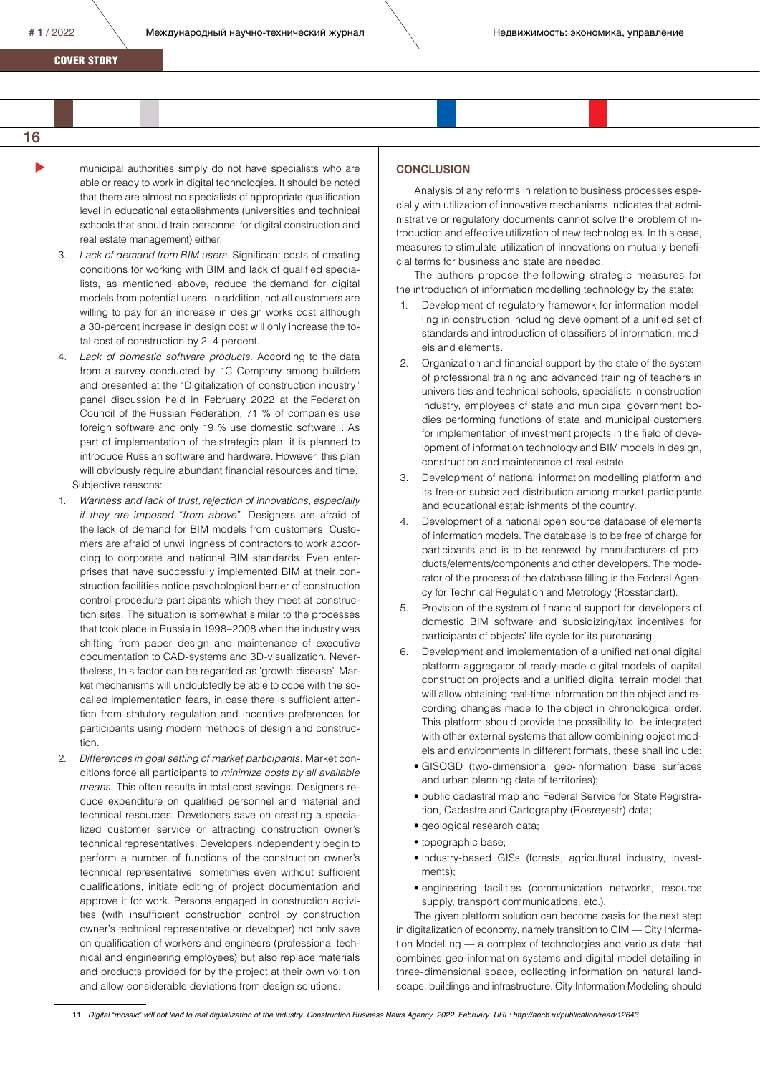$#1/2022$  Международный научно-технический журнал **Heдвижимость: экономика, управление** 

COVER STORY

# **16**

 $\blacktriangleright$ 

- municipal authorities simply do not have specialists who are able or ready to work in digital technologies. It should be noted that there are almost no specialists of appropriate qualification level in educational establishments (universities and technical schools that should train personnel for digital construction and real estate management) either.
- 3. *Lack of demand from BIM users*. Significant costs of creating conditions for working with BIM and lack of qualified specialists, as mentioned above, reduce the demand for digital models from potential users. In addition, not all customers are willing to pay for an increase in design works cost although a 30-percent increase in design cost will only increase the total cost of construction by 2–4 percent.
- 4. *Lack of domestic software products.* According to the data from a survey conducted by 1C Company among builders and presented at the "Digitalization of construction industry" panel discussion held in February 2022 at the Federation Council of the Russian Federation, 71 % of companies use foreign software and only 19 % use domestic software<sup>11</sup>. As part of implementation of the strategic plan, it is planned to introduce Russian software and hardware. However, this plan will obviously require abundant financial resources and time. Subjective reasons:
- 1. *Wariness and lack of trust, rejection of innovations, especially if they are imposed "from above".* Designers are afraid of the lack of demand for BIM models from customers. Customers are afraid of unwillingness of contractors to work according to corporate and national BIM standards. Even enterprises that have successfully implemented BIM at their construction facilities notice psychological barrier of construction control procedure participants which they meet at construction sites. The situation is somewhat similar to the processes that took place in Russia in 1998–2008 when the industry was shifting from paper design and maintenance of executive documentation to CAD-systems and 3D-visualization. Nevertheless, this factor can be regarded as 'growth disease'. Market mechanisms will undoubtedly be able to cope with the socalled implementation fears, in case there is sufficient attention from statutory regulation and incentive preferences for participants using modern methods of design and construction.
- 2. *Differences in goal setting of market participants.* Market conditions force all participants to *minimize costs by all available means*. This often results in total cost savings. Designers reduce expenditure on qualified personnel and material and technical resources. Developers save on creating a specialized customer service or attracting construction owner's technical representatives. Developers independently begin to perform a number of functions of the construction owner's technical representative, sometimes even without sufficient qualifications, initiate editing of project documentation and approve it for work. Persons engaged in construction activities (with insufficient construction control by construction owner's technical representative or developer) not only save on qualification of workers and engineers (professional technical and engineering employees) but also replace materials and products provided for by the project at their own volition and allow considerable deviations from design solutions.

## **CONCLUSION**

Analysis of any reforms in relation to business processes especially with utilization of innovative mechanisms indicates that administrative or regulatory documents cannot solve the problem of introduction and effective utilization of new technologies. In this case, measures to stimulate utilization of innovations on mutually beneficial terms for business and state are needed.

The authors propose the following strategic measures for the introduction of information modelling technology by the state:

- 1. Development of regulatory framework for information modelling in construction including development of a unified set of standards and introduction of classifiers of information, models and elements.
- 2. Organization and financial support by the state of the system of professional training and advanced training of teachers in universities and technical schools, specialists in construction industry, employees of state and municipal government bodies performing functions of state and municipal customers for implementation of investment projects in the field of development of information technology and BIM models in design, construction and maintenance of real estate.
- 3. Development of national information modelling platform and its free or subsidized distribution among market participants and educational establishments of the country.
- 4. Development of a national open source database of elements of information models. The database is to be free of charge for participants and is to be renewed by manufacturers of products/elements/components and other developers. The moderator of the process of the database filling is the Federal Agency for Technical Regulation and Metrology (Rosstandart).
- 5. Provision of the system of financial support for developers of domestic BIM software and subsidizing/tax incentives for participants of objects' life cycle for its purchasing.
- 6. Development and implementation of a unified national digital platform-aggregator of ready-made digital models of capital construction projects and a unified digital terrain model that will allow obtaining real-time information on the object and recording changes made to the object in chronological order. This platform should provide the possibility to be integrated with other external systems that allow combining object models and environments in different formats, these shall include:
	- GISOGD (two-dimensional geo-information base surfaces and urban planning data of territories);
	- public cadastral map and Federal Service for State Registration, Cadastre and Cartography (Rosreyestr) data;
	- geological research data;
	- topographic base;
	- industry-based GISs (forests, agricultural industry, investments);
	- engineering facilities (communication networks, resource supply, transport communications, etc.).

The given platform solution can become basis for the next step in digitalization of economy, namely transition to CIM — City Information Modelling — a complex of technologies and various data that combines geo-information systems and digital model detailing in three-dimensional space, collecting information on natural landscape, buildings and infrastructure. City Information Modeling should

11 *Digital "mosaic" will not lead to real digitalization of the industry. Construction Business News Agency. 2022. February. URL: http://ancb.ru/publication/read/12643*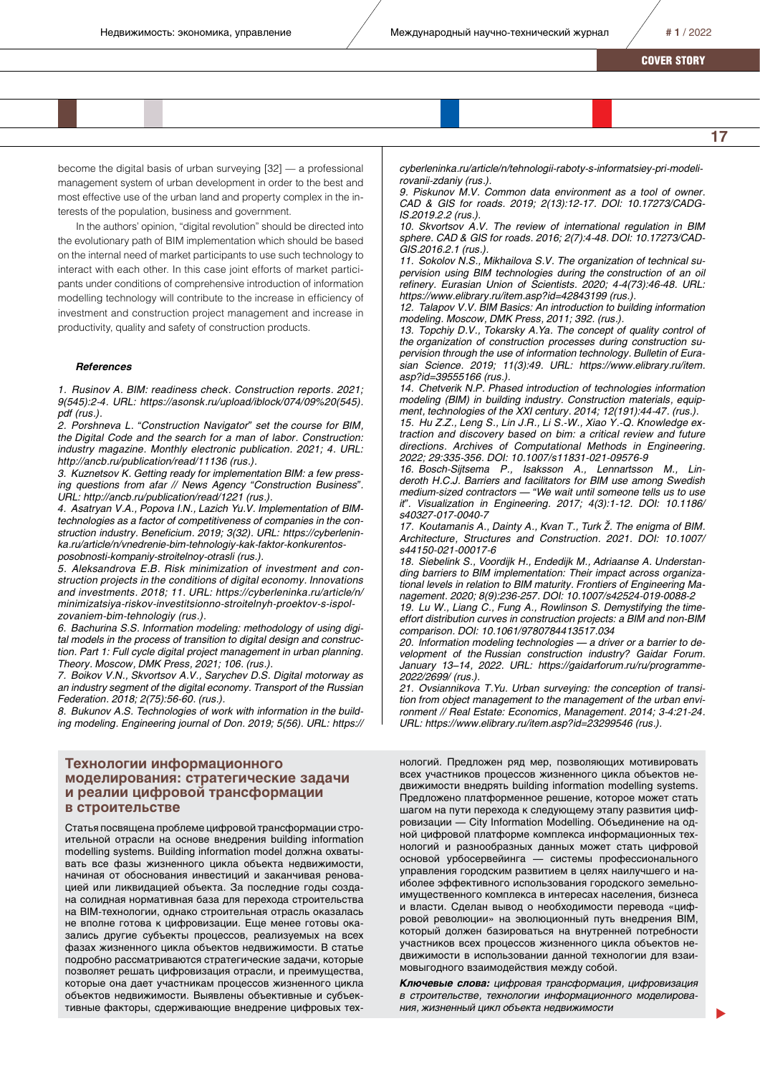**17**

COVER STORY

become the digital basis of urban surveying [32] — a professional management system of urban development in order to the best and most effective use of the urban land and property complex in the interests of the population, business and government.

In the authors' opinion, "digital revolution" should be directed into the evolutionary path of BIM implementation which should be based on the internal need of market participants to use such technology to interact with each other. In this case joint efforts of market participants under conditions of comprehensive introduction of information modelling technology will contribute to the increase in efficiency of investment and construction project management and increase in productivity, quality and safety of construction products.

#### *References*

*1. Rusinov A. BIM: readiness check. Construction reports. 2021; 9(545):2-4. URL: https://asonsk.ru/upload/iblock/074/09%20(545). pdf (rus.).*

*2. Porshneva L. "Construction Navigator" set the course for BIM, the Digital Code and the search for a man of labor. Construction: industry magazine. Monthly electronic publication. 2021; 4. URL: http://ancb.ru/publication/read/11136 (rus.).*

*3. Kuznetsov K. Getting ready for implementation BIM: a few pressing questions from afar // News Agency "Construction Business". URL: http://ancb.ru/publication/read/1221 (rus.).*

*4. Asatryan V.A., Popova I.N., Lazich Yu.V. Implementation of BIMtechnologies as a factor of competitiveness of companies in the construction industry. Beneficium. 2019; 3(32). URL: https://cyberleninka.ru/article/n/vnedrenie-bim-tehnologiy-kak-faktor-konkurentosposobnosti-kompaniy-stroitelnoy-otrasli (rus.).*

*5. Aleksandrova E.B. Risk minimization of investment and construction projects in the conditions of digital economy. Innovations and investments. 2018; 11. URL: https://cyberleninka.ru/article/n/ minimizatsiya-riskov-investitsionno-stroitelnyh-proektov-s-ispolzovaniem-bim-tehnologiy (rus.).*

*6. Bachurina S.S. Information modeling: methodology of using digital models in the process of transition to digital design and construction. Part 1: Full cycle digital project management in urban planning. Theory. Moscow, DMK Press, 2021; 106. (rus.).*

*7. Boikov V.N., Skvortsov A.V., Sarychev D.S. Digital motorway as an industry segment of the digital economy. Transport of the Russian Federation. 2018; 2(75):56-60. (rus.).*

*8. Bukunov A.S. Technologies of work with information in the building modeling. Engineering journal of Don. 2019; 5(56). URL: https://*

### **Технологии информационного моделирования: стратегические задачи и реалии цифровой трансформации в строительстве**

Статья посвящена проблеме цифровой трансформации строительной отрасли на основе внедрения building information modelling systems. Building information model должна охватывать все фазы жизненного цикла объекта недвижимости, начиная от обоснования инвестиций и заканчивая реновацией или ликвидацией объекта. За последние годы создана солидная нормативная база для перехода строительства на BIM-технологии, однако строительная отрасль оказалась не вполне готова к цифровизации. Еще менее готовы оказались другие субъекты процессов, реализуемых на всех фазах жизненного цикла объектов недвижимости. В статье подробно рассматриваются стратегические задачи, которые позволяет решать цифровизация отрасли, и преимущества, которые она дает участникам процессов жизненного цикла объектов недвижимости. Выявлены объективные и субъективные факторы, сдерживающие внедрение цифровых тех-

*cyberleninka.ru/article/n/tehnologii-raboty-s-informatsiey-pri-modelirovanii-zdaniy (rus.).*

*9. Piskunov M.V. Common data environment as a tool of owner. CAD & GIS for roads. 2019; 2(13):12-17. DOI: 10.17273/CADG-IS.2019.2.2 (rus.).*

*10. Skvortsov A.V. The review of international regulation in BIM sphere. CAD & GIS for roads. 2016; 2(7):4-48. DOI: 10.17273/CAD-GIS.2016.2.1 (rus.).*

*11. Sokolov N.S., Mikhailova S.V. The organization of technical supervision using BIM technologies during the construction of an oil refinery. Eurasian Union of Scientists. 2020; 4-4(73):46-48. URL: https://www.elibrary.ru/item.asp?id=42843199 (rus.).*

*12. Talapov V.V. BIM Basics: An introduction to building information modeling. Moscow, DMK Press, 2011; 392. (rus.).*

*13. Topchiy D.V., Tokarsky A.Ya. The concept of quality control of the organization of construction processes during construction supervision through the use of information technology. Bulletin of Eurasian Science. 2019; 11(3):49. URL: https://www.elibrary.ru/item. asp?id=39555166 (rus.).*

*14. Chetverik N.P. Phased introduction of technologies information modeling (BIM) in building industry. Construction materials, equipment, technologies of the XXI century. 2014; 12(191):44-47. (rus.).*

*15. Hu Z.Z., Leng S., Lin J.R., Li S.-W., Xiao Y.-Q. Knowledge extraction and discovery based on bim: a critical review and future directions. Archives of Computational Methods in Engineering. 2022; 29:335-356. DOI: 10.1007/s11831-021-09576-9*

*16. Bosch-Sijtsema P., Isaksson A., Lennartsson M., Linderoth H.C.J. Barriers and facilitators for BIM use among Swedish medium-sized contractors — "We wait until someone tells us to use it". Visualization in Engineering. 2017; 4(3):1-12. DOI: 10.1186/ s40327-017-0040-7*

*17. Koutamanis A., Dainty A., Kvan T., Turk Ž. The enigma of BIM. Architecture, Structures and Construction. 2021. DOI: 10.1007/ s44150-021-00017-6*

*18. Siebelink S., Voordijk H., Endedijk M., Adriaanse A. Understanding barriers to BIM implementation: Their impact across organizational levels in relation to BIM maturity. Frontiers of Engineering Management. 2020; 8(9):236-257. DOI: 10.1007/s42524-019-0088-2*

*19. Lu W., Liang C., Fung A., Rowlinson S. Demystifying the timeeffort distribution curves in construction projects: a BIM and non-BIM comparison. DOI: 10.1061/9780784413517.034*

*20. Information modeling technologies — a driver or a barrier to development of the Russian construction industry? Gaidar Forum. January 13–14, 2022. URL: https://gaidarforum.ru/ru/programme-2022/2699/ (rus.).*

*21. Ovsiannikova T.Yu. Urban surveying: the conception of transition from object management to the management of the urban environment // Real Estate: Economics, Management. 2014; 3-4:21-24. URL: https://www.elibrary.ru/item.asp?id=23299546 (rus.).*

нологий. Предложен ряд мер, позволяющих мотивировать всех участников процессов жизненного цикла объектов недвижимости внедрять building information modelling systems. Предложено платформенное решение, которое может стать шагом на пути перехода к следующему этапу развития цифровизации — City Information Modelling. Объединение на одной цифровой платформе комплекса информационных технологий и разнообразных данных может стать цифровой основой урбосервейинга — системы профессионального управления городским развитием в целях наилучшего и наиболее эффективного использования городского земельноимущественного комплекса в интересах населения, бизнеса и власти. Сделан вывод о необходимости перевода «цифровой революции» на эволюционный путь внедрения BIM, который должен базироваться на внутренней потребности участников всех процессов жизненного цикла объектов недвижимости в использовании данной технологии для взаимовыгодного взаимодействия между собой.

*Ключевые слова: цифровая трансформация, цифровизация в строительстве, технологии информационного моделирования, жизненный цикл объекта недвижимости*